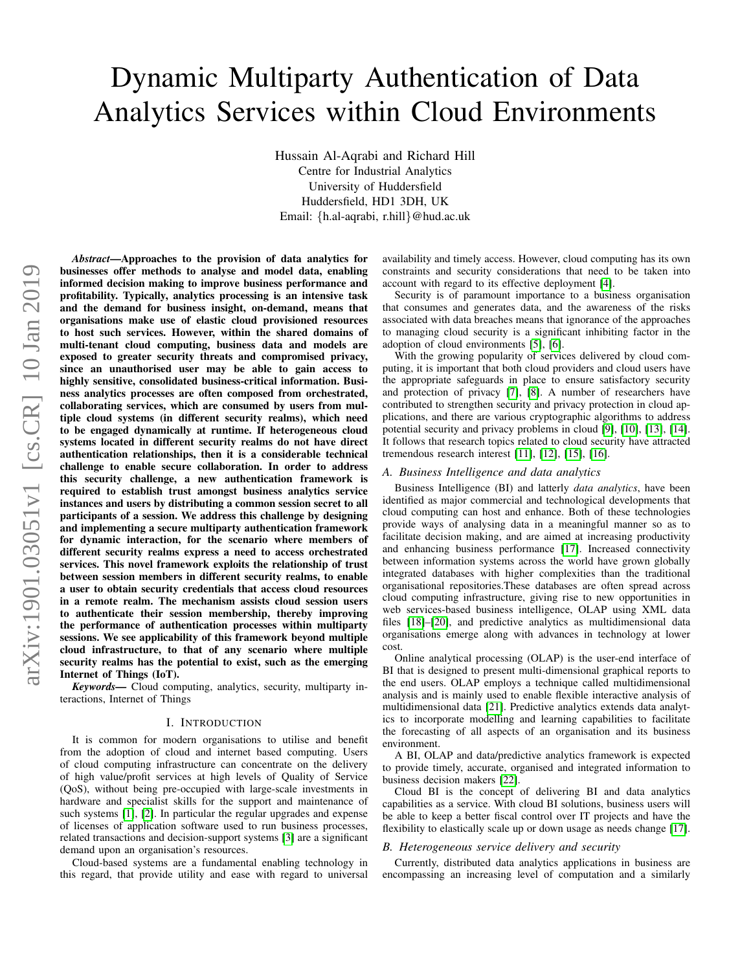# Dynamic Multiparty Authentication of Data Analytics Services within Cloud Environments

Hussain Al-Aqrabi and Richard Hill Centre for Industrial Analytics University of Huddersfield Huddersfield, HD1 3DH, UK Email: {h.al-aqrabi, r.hill}@hud.ac.uk

*Abstract*—Approaches to the provision of data analytics for businesses offer methods to analyse and model data, enabling informed decision making to improve business performance and profitability. Typically, analytics processing is an intensive task and the demand for business insight, on-demand, means that organisations make use of elastic cloud provisioned resources to host such services. However, within the shared domains of multi-tenant cloud computing, business data and models are exposed to greater security threats and compromised privacy, since an unauthorised user may be able to gain access to highly sensitive, consolidated business-critical information. Business analytics processes are often composed from orchestrated, collaborating services, which are consumed by users from multiple cloud systems (in different security realms), which need to be engaged dynamically at runtime. If heterogeneous cloud systems located in different security realms do not have direct authentication relationships, then it is a considerable technical challenge to enable secure collaboration. In order to address this security challenge, a new authentication framework is required to establish trust amongst business analytics service instances and users by distributing a common session secret to all participants of a session. We address this challenge by designing and implementing a secure multiparty authentication framework for dynamic interaction, for the scenario where members of different security realms express a need to access orchestrated services. This novel framework exploits the relationship of trust between session members in different security realms, to enable a user to obtain security credentials that access cloud resources in a remote realm. The mechanism assists cloud session users to authenticate their session membership, thereby improving the performance of authentication processes within multiparty sessions. We see applicability of this framework beyond multiple cloud infrastructure, to that of any scenario where multiple security realms has the potential to exist, such as the emerging Internet of Things (IoT).

*Keywords—* Cloud computing, analytics, security, multiparty interactions, Internet of Things

## I. INTRODUCTION

It is common for modern organisations to utilise and benefit from the adoption of cloud and internet based computing. Users of cloud computing infrastructure can concentrate on the delivery of high value/profit services at high levels of Quality of Service (QoS), without being pre-occupied with large-scale investments in hardware and specialist skills for the support and maintenance of such systems [\[1\]](#page-7-0), [\[2\]](#page-7-1). In particular the regular upgrades and expense of licenses of application software used to run business processes, related transactions and decision-support systems [\[3\]](#page-7-2) are a significant demand upon an organisation's resources.

Cloud-based systems are a fundamental enabling technology in this regard, that provide utility and ease with regard to universal availability and timely access. However, cloud computing has its own constraints and security considerations that need to be taken into account with regard to its effective deployment [\[4\]](#page-7-3).

Security is of paramount importance to a business organisation that consumes and generates data, and the awareness of the risks associated with data breaches means that ignorance of the approaches to managing cloud security is a significant inhibiting factor in the adoption of cloud environments [\[5\]](#page-7-4), [\[6\]](#page-7-5).

With the growing popularity of services delivered by cloud computing, it is important that both cloud providers and cloud users have the appropriate safeguards in place to ensure satisfactory security and protection of privacy [\[7\]](#page-7-6), [\[8\]](#page-7-7). A number of researchers have contributed to strengthen security and privacy protection in cloud applications, and there are various cryptographic algorithms to address potential security and privacy problems in cloud [\[9\]](#page-7-8), [\[10\]](#page-7-9), [\[13\]](#page-7-10), [\[14\]](#page-7-11). It follows that research topics related to cloud security have attracted tremendous research interest [\[11\]](#page-7-12), [\[12\]](#page-7-13), [\[15\]](#page-7-14), [\[16\]](#page-7-15).

## *A. Business Intelligence and data analytics*

Business Intelligence (BI) and latterly *data analytics*, have been identified as major commercial and technological developments that cloud computing can host and enhance. Both of these technologies provide ways of analysing data in a meaningful manner so as to facilitate decision making, and are aimed at increasing productivity and enhancing business performance [\[17\]](#page-7-16). Increased connectivity between information systems across the world have grown globally integrated databases with higher complexities than the traditional organisational repositories.These databases are often spread across cloud computing infrastructure, giving rise to new opportunities in web services-based business intelligence, OLAP using XML data files [\[18\]](#page-7-17)–[\[20\]](#page-7-18), and predictive analytics as multidimensional data organisations emerge along with advances in technology at lower cost.

Online analytical processing (OLAP) is the user-end interface of BI that is designed to present multi-dimensional graphical reports to the end users. OLAP employs a technique called multidimensional analysis and is mainly used to enable flexible interactive analysis of multidimensional data [\[21\]](#page-7-19). Predictive analytics extends data analytics to incorporate modelling and learning capabilities to facilitate the forecasting of all aspects of an organisation and its business environment.

A BI, OLAP and data/predictive analytics framework is expected to provide timely, accurate, organised and integrated information to business decision makers [\[22\]](#page-7-20).

Cloud BI is the concept of delivering BI and data analytics capabilities as a service. With cloud BI solutions, business users will be able to keep a better fiscal control over IT projects and have the flexibility to elastically scale up or down usage as needs change [\[17\]](#page-7-16).

## *B. Heterogeneous service delivery and security*

Currently, distributed data analytics applications in business are encompassing an increasing level of computation and a similarly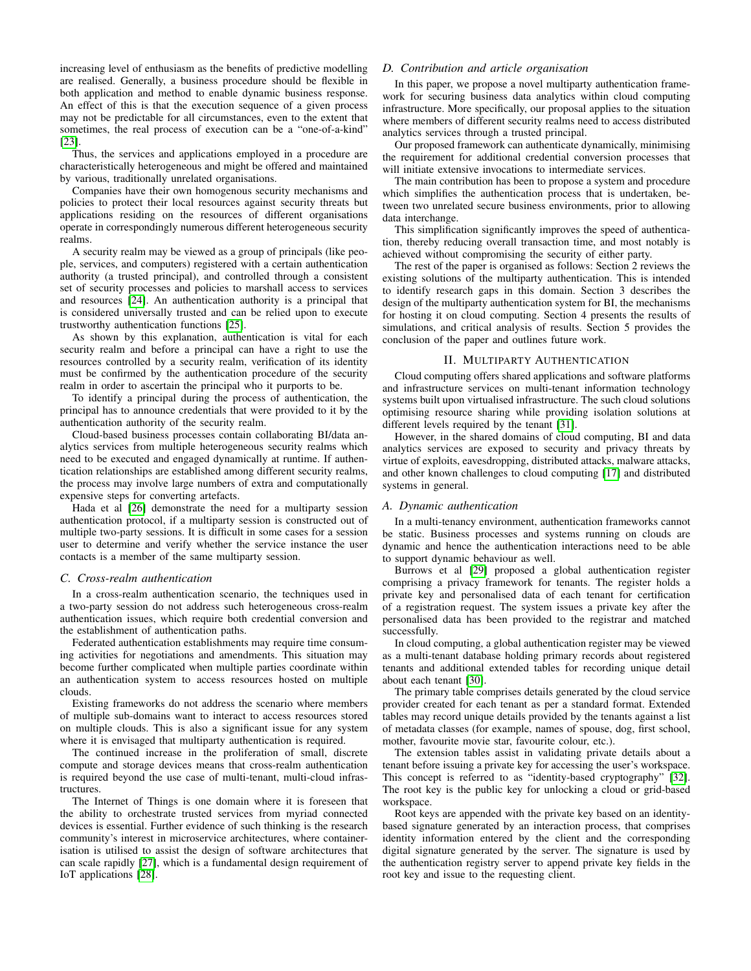increasing level of enthusiasm as the benefits of predictive modelling are realised. Generally, a business procedure should be flexible in both application and method to enable dynamic business response. An effect of this is that the execution sequence of a given process may not be predictable for all circumstances, even to the extent that sometimes, the real process of execution can be a "one-of-a-kind" [\[23\]](#page-7-21).

Thus, the services and applications employed in a procedure are characteristically heterogeneous and might be offered and maintained by various, traditionally unrelated organisations.

Companies have their own homogenous security mechanisms and policies to protect their local resources against security threats but applications residing on the resources of different organisations operate in correspondingly numerous different heterogeneous security realms.

A security realm may be viewed as a group of principals (like people, services, and computers) registered with a certain authentication authority (a trusted principal), and controlled through a consistent set of security processes and policies to marshall access to services and resources [\[24\]](#page-7-22). An authentication authority is a principal that is considered universally trusted and can be relied upon to execute trustworthy authentication functions [\[25\]](#page-7-23).

As shown by this explanation, authentication is vital for each security realm and before a principal can have a right to use the resources controlled by a security realm, verification of its identity must be confirmed by the authentication procedure of the security realm in order to ascertain the principal who it purports to be.

To identify a principal during the process of authentication, the principal has to announce credentials that were provided to it by the authentication authority of the security realm.

Cloud-based business processes contain collaborating BI/data analytics services from multiple heterogeneous security realms which need to be executed and engaged dynamically at runtime. If authentication relationships are established among different security realms, the process may involve large numbers of extra and computationally expensive steps for converting artefacts.

Hada et al [\[26\]](#page-7-24) demonstrate the need for a multiparty session authentication protocol, if a multiparty session is constructed out of multiple two-party sessions. It is difficult in some cases for a session user to determine and verify whether the service instance the user contacts is a member of the same multiparty session.

## *C. Cross-realm authentication*

In a cross-realm authentication scenario, the techniques used in a two-party session do not address such heterogeneous cross-realm authentication issues, which require both credential conversion and the establishment of authentication paths.

Federated authentication establishments may require time consuming activities for negotiations and amendments. This situation may become further complicated when multiple parties coordinate within an authentication system to access resources hosted on multiple clouds.

Existing frameworks do not address the scenario where members of multiple sub-domains want to interact to access resources stored on multiple clouds. This is also a significant issue for any system where it is envisaged that multiparty authentication is required.

The continued increase in the proliferation of small, discrete compute and storage devices means that cross-realm authentication is required beyond the use case of multi-tenant, multi-cloud infrastructures.

The Internet of Things is one domain where it is foreseen that the ability to orchestrate trusted services from myriad connected devices is essential. Further evidence of such thinking is the research community's interest in microservice architectures, where containerisation is utilised to assist the design of software architectures that can scale rapidly [\[27\]](#page-7-25), which is a fundamental design requirement of IoT applications [\[28\]](#page-7-26).

## *D. Contribution and article organisation*

In this paper, we propose a novel multiparty authentication framework for securing business data analytics within cloud computing infrastructure. More specifically, our proposal applies to the situation where members of different security realms need to access distributed analytics services through a trusted principal.

Our proposed framework can authenticate dynamically, minimising the requirement for additional credential conversion processes that will initiate extensive invocations to intermediate services.

The main contribution has been to propose a system and procedure which simplifies the authentication process that is undertaken, between two unrelated secure business environments, prior to allowing data interchange.

This simplification significantly improves the speed of authentication, thereby reducing overall transaction time, and most notably is achieved without compromising the security of either party.

The rest of the paper is organised as follows: Section 2 reviews the existing solutions of the multiparty authentication. This is intended to identify research gaps in this domain. Section 3 describes the design of the multiparty authentication system for BI, the mechanisms for hosting it on cloud computing. Section 4 presents the results of simulations, and critical analysis of results. Section 5 provides the conclusion of the paper and outlines future work.

## II. MULTIPARTY AUTHENTICATION

Cloud computing offers shared applications and software platforms and infrastructure services on multi-tenant information technology systems built upon virtualised infrastructure. The such cloud solutions optimising resource sharing while providing isolation solutions at different levels required by the tenant [\[31\]](#page-7-27).

However, in the shared domains of cloud computing, BI and data analytics services are exposed to security and privacy threats by virtue of exploits, eavesdropping, distributed attacks, malware attacks, and other known challenges to cloud computing [\[17\]](#page-7-16) and distributed systems in general.

## *A. Dynamic authentication*

In a multi-tenancy environment, authentication frameworks cannot be static. Business processes and systems running on clouds are dynamic and hence the authentication interactions need to be able to support dynamic behaviour as well.

Burrows et al [\[29\]](#page-7-28) proposed a global authentication register comprising a privacy framework for tenants. The register holds a private key and personalised data of each tenant for certification of a registration request. The system issues a private key after the personalised data has been provided to the registrar and matched successfully.

In cloud computing, a global authentication register may be viewed as a multi-tenant database holding primary records about registered tenants and additional extended tables for recording unique detail about each tenant [\[30\]](#page-7-29).

The primary table comprises details generated by the cloud service provider created for each tenant as per a standard format. Extended tables may record unique details provided by the tenants against a list of metadata classes (for example, names of spouse, dog, first school, mother, favourite movie star, favourite colour, etc.).

The extension tables assist in validating private details about a tenant before issuing a private key for accessing the user's workspace. This concept is referred to as "identity-based cryptography" [\[32\]](#page-7-30). The root key is the public key for unlocking a cloud or grid-based workspace.

Root keys are appended with the private key based on an identitybased signature generated by an interaction process, that comprises identity information entered by the client and the corresponding digital signature generated by the server. The signature is used by the authentication registry server to append private key fields in the root key and issue to the requesting client.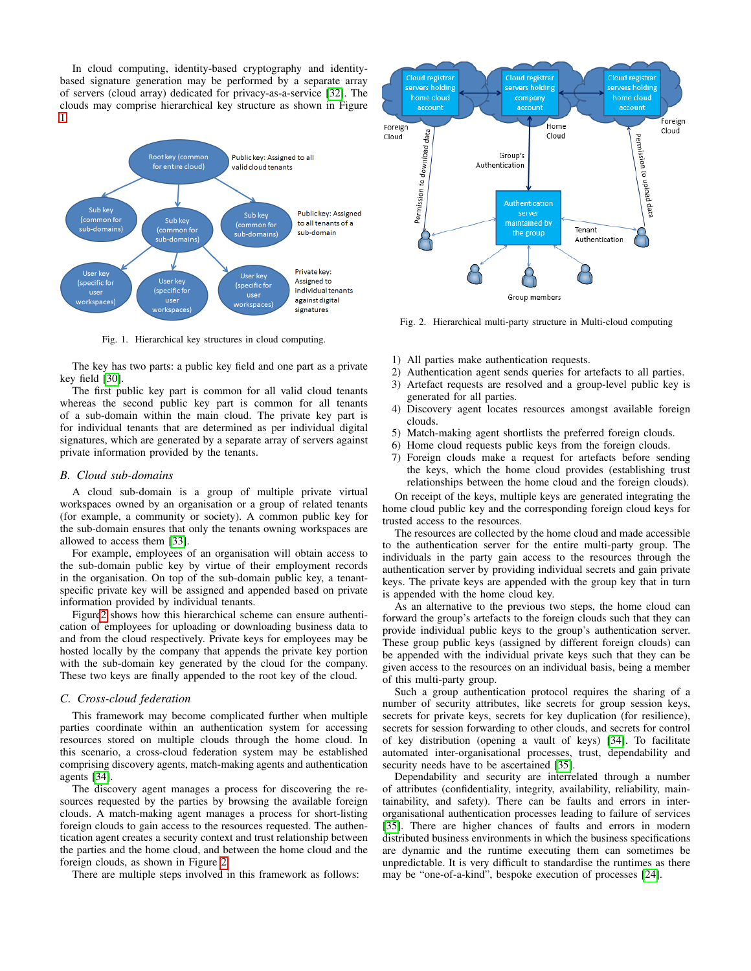In cloud computing, identity-based cryptography and identitybased signature generation may be performed by a separate array of servers (cloud array) dedicated for privacy-as-a-service [\[32\]](#page-7-30). The clouds may comprise hierarchical key structure as shown in Figure [1.](#page-2-0)



<span id="page-2-0"></span>Fig. 1. Hierarchical key structures in cloud computing.

The key has two parts: a public key field and one part as a private key field [\[30\]](#page-7-29).

The first public key part is common for all valid cloud tenants whereas the second public key part is common for all tenants of a sub-domain within the main cloud. The private key part is for individual tenants that are determined as per individual digital signatures, which are generated by a separate array of servers against private information provided by the tenants.

### *B. Cloud sub-domains*

A cloud sub-domain is a group of multiple private virtual workspaces owned by an organisation or a group of related tenants (for example, a community or society). A common public key for the sub-domain ensures that only the tenants owning workspaces are allowed to access them [\[33\]](#page-7-31).

For example, employees of an organisation will obtain access to the sub-domain public key by virtue of their employment records in the organisation. On top of the sub-domain public key, a tenantspecific private key will be assigned and appended based on private information provided by individual tenants.

Figur[e2](#page-2-1) shows how this hierarchical scheme can ensure authentication of employees for uploading or downloading business data to and from the cloud respectively. Private keys for employees may be hosted locally by the company that appends the private key portion with the sub-domain key generated by the cloud for the company. These two keys are finally appended to the root key of the cloud.

## *C. Cross-cloud federation*

This framework may become complicated further when multiple parties coordinate within an authentication system for accessing resources stored on multiple clouds through the home cloud. In this scenario, a cross-cloud federation system may be established comprising discovery agents, match-making agents and authentication agents [\[34\]](#page-7-32).

The discovery agent manages a process for discovering the resources requested by the parties by browsing the available foreign clouds. A match-making agent manages a process for short-listing foreign clouds to gain access to the resources requested. The authentication agent creates a security context and trust relationship between the parties and the home cloud, and between the home cloud and the foreign clouds, as shown in Figure [2.](#page-2-1)

There are multiple steps involved in this framework as follows:



<span id="page-2-1"></span>Fig. 2. Hierarchical multi-party structure in Multi-cloud computing

- 1) All parties make authentication requests.
- 2) Authentication agent sends queries for artefacts to all parties.
- 3) Artefact requests are resolved and a group-level public key is generated for all parties.
- 4) Discovery agent locates resources amongst available foreign clouds.
- 5) Match-making agent shortlists the preferred foreign clouds.
- 6) Home cloud requests public keys from the foreign clouds.
- 7) Foreign clouds make a request for artefacts before sending the keys, which the home cloud provides (establishing trust relationships between the home cloud and the foreign clouds).

On receipt of the keys, multiple keys are generated integrating the home cloud public key and the corresponding foreign cloud keys for trusted access to the resources.

The resources are collected by the home cloud and made accessible to the authentication server for the entire multi-party group. The individuals in the party gain access to the resources through the authentication server by providing individual secrets and gain private keys. The private keys are appended with the group key that in turn is appended with the home cloud key.

As an alternative to the previous two steps, the home cloud can forward the group's artefacts to the foreign clouds such that they can provide individual public keys to the group's authentication server. These group public keys (assigned by different foreign clouds) can be appended with the individual private keys such that they can be given access to the resources on an individual basis, being a member of this multi-party group.

Such a group authentication protocol requires the sharing of a number of security attributes, like secrets for group session keys, secrets for private keys, secrets for key duplication (for resilience), secrets for session forwarding to other clouds, and secrets for control of key distribution (opening a vault of keys) [\[34\]](#page-7-32). To facilitate automated inter-organisational processes, trust, dependability and security needs have to be ascertained [\[35\]](#page-7-33).

Dependability and security are interrelated through a number of attributes (confidentiality, integrity, availability, reliability, maintainability, and safety). There can be faults and errors in interorganisational authentication processes leading to failure of services [\[35\]](#page-7-33). There are higher chances of faults and errors in modern distributed business environments in which the business specifications are dynamic and the runtime executing them can sometimes be unpredictable. It is very difficult to standardise the runtimes as there may be "one-of-a-kind", bespoke execution of processes [\[24\]](#page-7-22).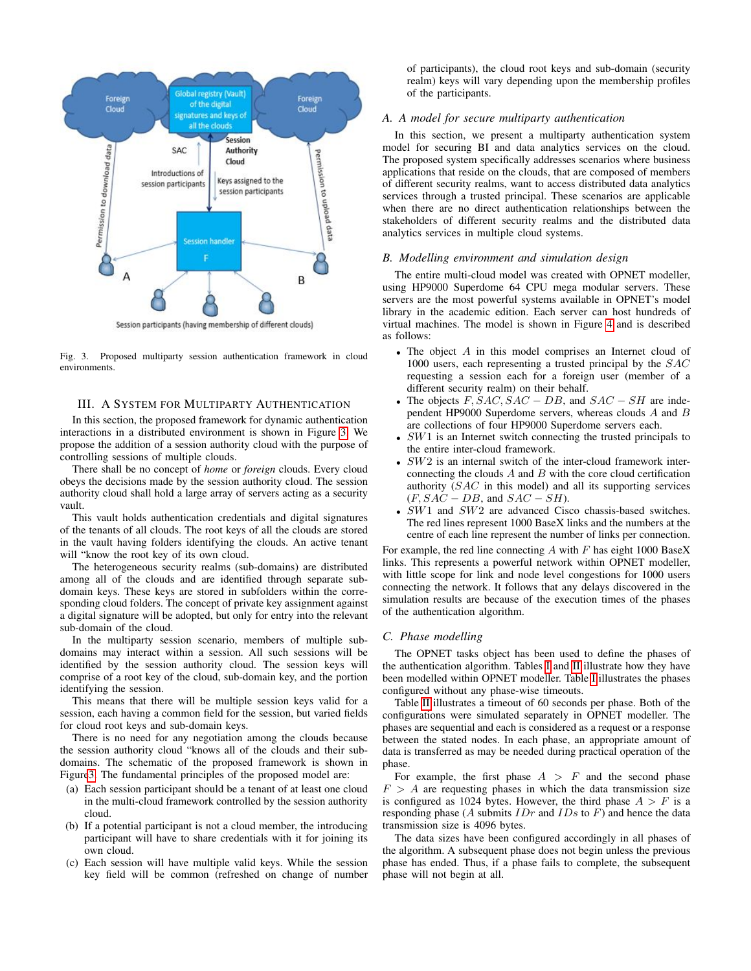

<span id="page-3-0"></span>

Fig. 3. Proposed multiparty session authentication framework in cloud environments.

# III. A SYSTEM FOR MULTIPARTY AUTHENTICATION

In this section, the proposed framework for dynamic authentication interactions in a distributed environment is shown in Figure [3.](#page-3-0) We propose the addition of a session authority cloud with the purpose of controlling sessions of multiple clouds.

There shall be no concept of *home* or *foreign* clouds. Every cloud obeys the decisions made by the session authority cloud. The session authority cloud shall hold a large array of servers acting as a security vault.

This vault holds authentication credentials and digital signatures of the tenants of all clouds. The root keys of all the clouds are stored in the vault having folders identifying the clouds. An active tenant will "know the root key of its own cloud.

The heterogeneous security realms (sub-domains) are distributed among all of the clouds and are identified through separate subdomain keys. These keys are stored in subfolders within the corresponding cloud folders. The concept of private key assignment against a digital signature will be adopted, but only for entry into the relevant sub-domain of the cloud.

In the multiparty session scenario, members of multiple subdomains may interact within a session. All such sessions will be identified by the session authority cloud. The session keys will comprise of a root key of the cloud, sub-domain key, and the portion identifying the session.

This means that there will be multiple session keys valid for a session, each having a common field for the session, but varied fields for cloud root keys and sub-domain keys.

There is no need for any negotiation among the clouds because the session authority cloud "knows all of the clouds and their subdomains. The schematic of the proposed framework is shown in Figur[e3.](#page-3-0) The fundamental principles of the proposed model are:

- (a) Each session participant should be a tenant of at least one cloud in the multi-cloud framework controlled by the session authority cloud.
- (b) If a potential participant is not a cloud member, the introducing participant will have to share credentials with it for joining its own cloud.
- (c) Each session will have multiple valid keys. While the session key field will be common (refreshed on change of number

of participants), the cloud root keys and sub-domain (security realm) keys will vary depending upon the membership profiles of the participants.

## *A. A model for secure multiparty authentication*

In this section, we present a multiparty authentication system model for securing BI and data analytics services on the cloud. The proposed system specifically addresses scenarios where business applications that reside on the clouds, that are composed of members of different security realms, want to access distributed data analytics services through a trusted principal. These scenarios are applicable when there are no direct authentication relationships between the stakeholders of different security realms and the distributed data analytics services in multiple cloud systems.

## *B. Modelling environment and simulation design*

The entire multi-cloud model was created with OPNET modeller, using HP9000 Superdome 64 CPU mega modular servers. These servers are the most powerful systems available in OPNET's model library in the academic edition. Each server can host hundreds of virtual machines. The model is shown in Figure [4](#page-4-0) and is described as follows:

- The object A in this model comprises an Internet cloud of 1000 users, each representing a trusted principal by the SAC requesting a session each for a foreign user (member of a different security realm) on their behalf.
- The objects  $F, SAC, SAC DB$ , and  $SAC SH$  are independent HP9000 Superdome servers, whereas clouds A and B are collections of four HP9000 Superdome servers each.
- SW1 is an Internet switch connecting the trusted principals to the entire inter-cloud framework.
- $SW2$  is an internal switch of the inter-cloud framework interconnecting the clouds  $A$  and  $B$  with the core cloud certification authority  $(SAC$  in this model) and all its supporting services  $(F, SAC - DB,$  and  $SAC - SH$ ).
- SW1 and SW2 are advanced Cisco chassis-based switches. The red lines represent 1000 BaseX links and the numbers at the centre of each line represent the number of links per connection.

For example, the red line connecting  $A$  with  $F$  has eight 1000 BaseX links. This represents a powerful network within OPNET modeller, with little scope for link and node level congestions for 1000 users connecting the network. It follows that any delays discovered in the simulation results are because of the execution times of the phases of the authentication algorithm.

#### *C. Phase modelling*

The OPNET tasks object has been used to define the phases of the authentication algorithm. Tables [I](#page-4-1) and [II](#page-4-2) illustrate how they have been modelled within OPNET modeller. Table [I](#page-4-1) illustrates the phases configured without any phase-wise timeouts.

Table [II](#page-4-2) illustrates a timeout of 60 seconds per phase. Both of the configurations were simulated separately in OPNET modeller. The phases are sequential and each is considered as a request or a response between the stated nodes. In each phase, an appropriate amount of data is transferred as may be needed during practical operation of the phase.

For example, the first phase  $A > F$  and the second phase  $F > A$  are requesting phases in which the data transmission size is configured as 1024 bytes. However, the third phase  $A > F$  is a responding phase ( $A$  submits  $IDr$  and  $IDs$  to  $F$ ) and hence the data transmission size is 4096 bytes.

The data sizes have been configured accordingly in all phases of the algorithm. A subsequent phase does not begin unless the previous phase has ended. Thus, if a phase fails to complete, the subsequent phase will not begin at all.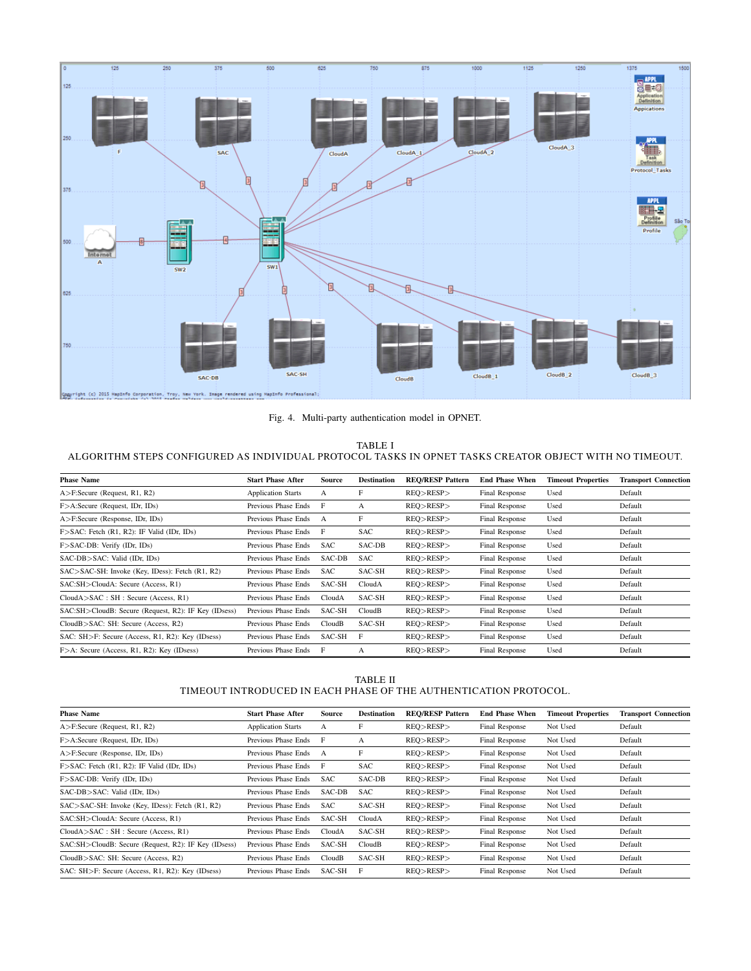

<span id="page-4-0"></span>Fig. 4. Multi-party authentication model in OPNET.

TABLE I

# <span id="page-4-1"></span>ALGORITHM STEPS CONFIGURED AS INDIVIDUAL PROTOCOL TASKS IN OPNET TASKS CREATOR OBJECT WITH NO TIMEOUT.

| <b>Phase Name</b>                                    | <b>Start Phase After</b>  | Source     | <b>Destination</b> | <b>REO/RESP Pattern</b> | <b>End Phase When</b> | <b>Timeout Properties</b> | <b>Transport Connection</b> |
|------------------------------------------------------|---------------------------|------------|--------------------|-------------------------|-----------------------|---------------------------|-----------------------------|
| $A > F$ : Secure (Request, R1, R2)                   | <b>Application Starts</b> | A          | F                  | REO>RESP>               | Final Response        | Used                      | Default                     |
| $F > A$ : Secure (Request, IDr, IDs)                 | Previous Phase Ends       | F          | A                  | REO>RESP>               | Final Response        | Used                      | Default                     |
| $A > F$ : Secure (Response, IDr, IDs)                | Previous Phase Ends       | A          | F                  | REO>RESP>               | Final Response        | Used                      | Default                     |
| $F > SAC$ : Fetch $(R1, R2)$ : IF Valid $(IDr, IDs)$ | Previous Phase Ends       | F          | SAC                | REO>RESP>               | Final Response        | Used                      | Default                     |
| $F > SAC-DB$ : Verify (IDr, IDs)                     | Previous Phase Ends       | <b>SAC</b> | SAC-DB             | REO>RESP>               | Final Response        | Used                      | Default                     |
| $SAC-DB > SAC$ : Valid (IDr. IDs)                    | Previous Phase Ends       | SAC-DB     | <b>SAC</b>         | REO>RESP>               | Final Response        | Used                      | Default                     |
| SAC>SAC-SH: Invoke (Key, IDess): Fetch (R1, R2)      | Previous Phase Ends       | <b>SAC</b> | SAC-SH             | REO > RESP              | Final Response        | Used                      | Default                     |
| SAC:SH>CloudA: Secure (Access, R1)                   | Previous Phase Ends       | SAC-SH     | CloudA             | REO>RESP>               | Final Response        | Used                      | Default                     |
| $CloudA > SAC : SH : Secure (Access, R1)$            | Previous Phase Ends       | CloudA     | SAC-SH             | REO > RESP              | Final Response        | Used                      | Default                     |
| SAC:SH>CloudB: Secure (Request, R2): IF Key (IDsess) | Previous Phase Ends       | SAC-SH     | CloudB             | REQ>RESP>               | Final Response        | Used                      | Default                     |
| CloudB>SAC: SH: Secure (Access, R2)                  | Previous Phase Ends       | CloudB     | SAC-SH             | REO > RESP              | Final Response        | Used                      | Default                     |
| SAC: SH>F: Secure (Access, R1, R2): Key (IDsess)     | Previous Phase Ends       | SAC-SH     | F                  | REO > RESP >            | Final Response        | Used                      | Default                     |
| $F>A$ : Secure (Access, R1, R2): Key (IDsess)        | Previous Phase Ends       | F          | A                  | REO>RESP>               | Final Response        | Used                      | Default                     |

TABLE II TIMEOUT INTRODUCED IN EACH PHASE OF THE AUTHENTICATION PROTOCOL.

<span id="page-4-2"></span>

| <b>Phase Name</b>                                    | <b>Start Phase After</b>  | Source | <b>Destination</b> | <b>REO/RESP Pattern</b> | <b>End Phase When</b> | <b>Timeout Properties</b> | <b>Transport Connection</b> |
|------------------------------------------------------|---------------------------|--------|--------------------|-------------------------|-----------------------|---------------------------|-----------------------------|
| $A > F$ : Secure (Request, R1, R2)                   | <b>Application Starts</b> | A      | F                  | REO > RESP              | Final Response        | Not Used                  | Default                     |
| $F > A$ : Secure (Request, IDr, IDs)                 | Previous Phase Ends       | F      | A                  | REO>RESP>               | Final Response        | Not Used                  | Default                     |
| A>F:Secure (Response, IDr, IDs)                      | Previous Phase Ends       | A      | F                  | REO>RESP>               | Final Response        | Not Used                  | Default                     |
| $F > SAC$ : Fetch $(R1, R2)$ : IF Valid $(IDr, IDs)$ | Previous Phase Ends       | F      | SAC                | REO>RESP>               | Final Response        | Not Used                  | Default                     |
| $F > SAC-DB$ : Verify (IDr, IDs)                     | Previous Phase Ends       | SAC    | SAC-DB             | REO>RESP>               | Final Response        | Not Used                  | Default                     |
| SAC-DB>SAC: Valid (IDr, IDs)                         | Previous Phase Ends       | SAC-DB | <b>SAC</b>         | REO>RESP>               | Final Response        | Not Used                  | Default                     |
| SAC>SAC-SH: Invoke (Key, IDess): Fetch (R1, R2)      | Previous Phase Ends       | SAC    | SAC-SH             | REO > RESP              | Final Response        | Not Used                  | Default                     |
| SAC:SH>CloudA: Secure (Access, R1)                   | Previous Phase Ends       | SAC-SH | CloudA             | REO>RESP>               | Final Response        | Not Used                  | Default                     |
| $CloudA > SAC : SH : Secure (Access, R1)$            | Previous Phase Ends       | CloudA | SAC-SH             | REO>RESP>               | Final Response        | Not Used                  | Default                     |
| SAC:SH>CloudB: Secure (Request, R2): IF Key (IDsess) | Previous Phase Ends       | SAC-SH | CloudB             | REO>RESP>               | Final Response        | Not Used                  | Default                     |
| CloudB>SAC: SH: Secure (Access, R2)                  | Previous Phase Ends       | CloudB | SAC-SH             | REO>RESP>               | Final Response        | Not Used                  | Default                     |
| SAC: SH>F: Secure (Access, R1, R2): Key (IDsess)     | Previous Phase Ends       | SAC-SH | F                  | REO>RESP>               | Final Response        | Not Used                  | Default                     |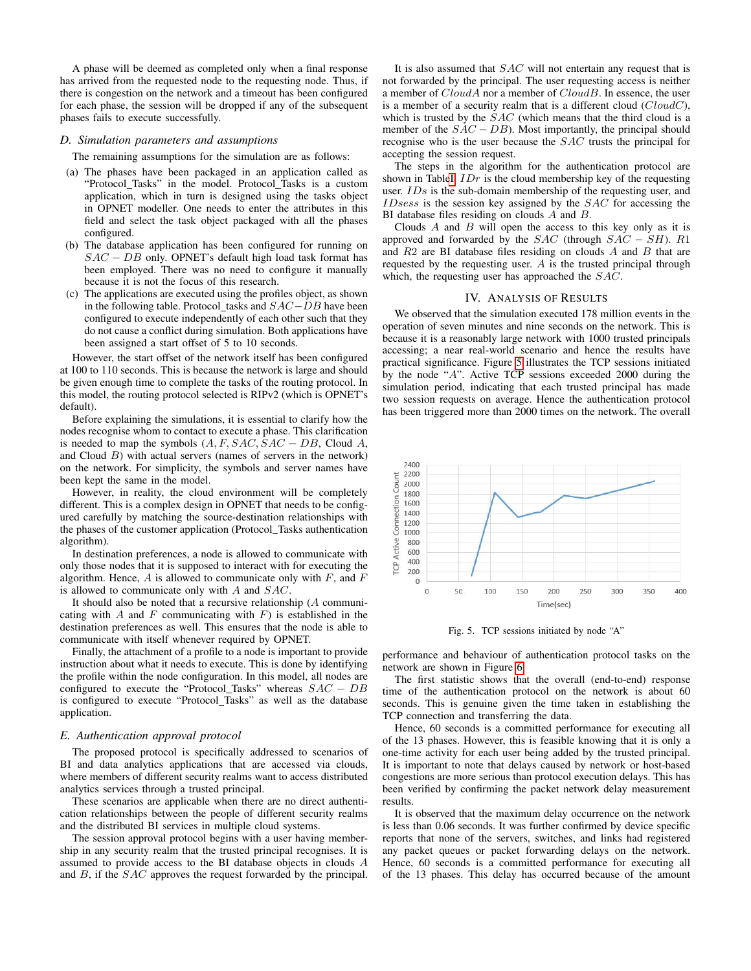A phase will be deemed as completed only when a final response has arrived from the requested node to the requesting node. Thus, if there is congestion on the network and a timeout has been configured for each phase, the session will be dropped if any of the subsequent phases fails to execute successfully.

## *D. Simulation parameters and assumptions*

- The remaining assumptions for the simulation are as follows:
- (a) The phases have been packaged in an application called as "Protocol Tasks" in the model. Protocol Tasks is a custom application, which in turn is designed using the tasks object in OPNET modeller. One needs to enter the attributes in this field and select the task object packaged with all the phases configured.
- (b) The database application has been configured for running on  $SAC - DB$  only. OPNET's default high load task format has been employed. There was no need to configure it manually because it is not the focus of this research.
- (c) The applications are executed using the profiles object, as shown in the following table. Protocol tasks and SAC−DB have been configured to execute independently of each other such that they do not cause a conflict during simulation. Both applications have been assigned a start offset of 5 to 10 seconds.

However, the start offset of the network itself has been configured at 100 to 110 seconds. This is because the network is large and should be given enough time to complete the tasks of the routing protocol. In this model, the routing protocol selected is RIPv2 (which is OPNET's default).

Before explaining the simulations, it is essential to clarify how the nodes recognise whom to contact to execute a phase. This clarification is needed to map the symbols  $(A, F, SAC, \overline{S}AC - DB,$  Cloud A, and Cloud  $B$ ) with actual servers (names of servers in the network) on the network. For simplicity, the symbols and server names have been kept the same in the model.

However, in reality, the cloud environment will be completely different. This is a complex design in OPNET that needs to be configured carefully by matching the source-destination relationships with the phases of the customer application (Protocol\_Tasks authentication algorithm).

In destination preferences, a node is allowed to communicate with only those nodes that it is supposed to interact with for executing the algorithm. Hence,  $A$  is allowed to communicate only with  $F$ , and  $F$ is allowed to communicate only with A and SAC.

It should also be noted that a recursive relationship  $(A \text{ communi-}$ cating with A and F communicating with  $F$ ) is established in the destination preferences as well. This ensures that the node is able to communicate with itself whenever required by OPNET.

Finally, the attachment of a profile to a node is important to provide instruction about what it needs to execute. This is done by identifying the profile within the node configuration. In this model, all nodes are configured to execute the "Protocol\_Tasks" whereas  $SAC - DB$ is configured to execute "Protocol\_Tasks" as well as the database application.

## *E. Authentication approval protocol*

The proposed protocol is specifically addressed to scenarios of BI and data analytics applications that are accessed via clouds, where members of different security realms want to access distributed analytics services through a trusted principal.

These scenarios are applicable when there are no direct authentication relationships between the people of different security realms and the distributed BI services in multiple cloud systems.

The session approval protocol begins with a user having membership in any security realm that the trusted principal recognises. It is assumed to provide access to the BI database objects in clouds A and B, if the SAC approves the request forwarded by the principal.

It is also assumed that SAC will not entertain any request that is not forwarded by the principal. The user requesting access is neither a member of CloudA nor a member of CloudB. In essence, the user is a member of a security realm that is a different cloud (CloudC), which is trusted by the  $SAC$  (which means that the third cloud is a member of the  $SAC - DB$ ). Most importantly, the principal should recognise who is the user because the SAC trusts the principal for accepting the session request.

The steps in the algorithm for the authentication protocol are shown in Tabl[eI.](#page-4-1)  $IDr$  is the cloud membership key of the requesting user.  $IDs$  is the sub-domain membership of the requesting user, and  $IDsess$  is the session key assigned by the  $SAC$  for accessing the BI database files residing on clouds A and B.

Clouds  $A$  and  $B$  will open the access to this key only as it is approved and forwarded by the  $SAC$  (through  $SAC - SH$ ). R1 and  $R2$  are BI database files residing on clouds  $A$  and  $B$  that are requested by the requesting user.  $A$  is the trusted principal through which, the requesting user has approached the SAC.

## IV. ANALYSIS OF RESULTS

We observed that the simulation executed 178 million events in the operation of seven minutes and nine seconds on the network. This is because it is a reasonably large network with 1000 trusted principals accessing; a near real-world scenario and hence the results have practical significance. Figure [5](#page-5-0) illustrates the TCP sessions initiated by the node "A". Active TCP sessions exceeded 2000 during the simulation period, indicating that each trusted principal has made two session requests on average. Hence the authentication protocol has been triggered more than 2000 times on the network. The overall



<span id="page-5-0"></span>Fig. 5. TCP sessions initiated by node "A"

performance and behaviour of authentication protocol tasks on the network are shown in Figure [6.](#page-6-0)

The first statistic shows that the overall (end-to-end) response time of the authentication protocol on the network is about 60 seconds. This is genuine given the time taken in establishing the TCP connection and transferring the data.

Hence, 60 seconds is a committed performance for executing all of the 13 phases. However, this is feasible knowing that it is only a one-time activity for each user being added by the trusted principal. It is important to note that delays caused by network or host-based congestions are more serious than protocol execution delays. This has been verified by confirming the packet network delay measurement results.

It is observed that the maximum delay occurrence on the network is less than 0.06 seconds. It was further confirmed by device specific reports that none of the servers, switches, and links had registered any packet queues or packet forwarding delays on the network. Hence, 60 seconds is a committed performance for executing all of the 13 phases. This delay has occurred because of the amount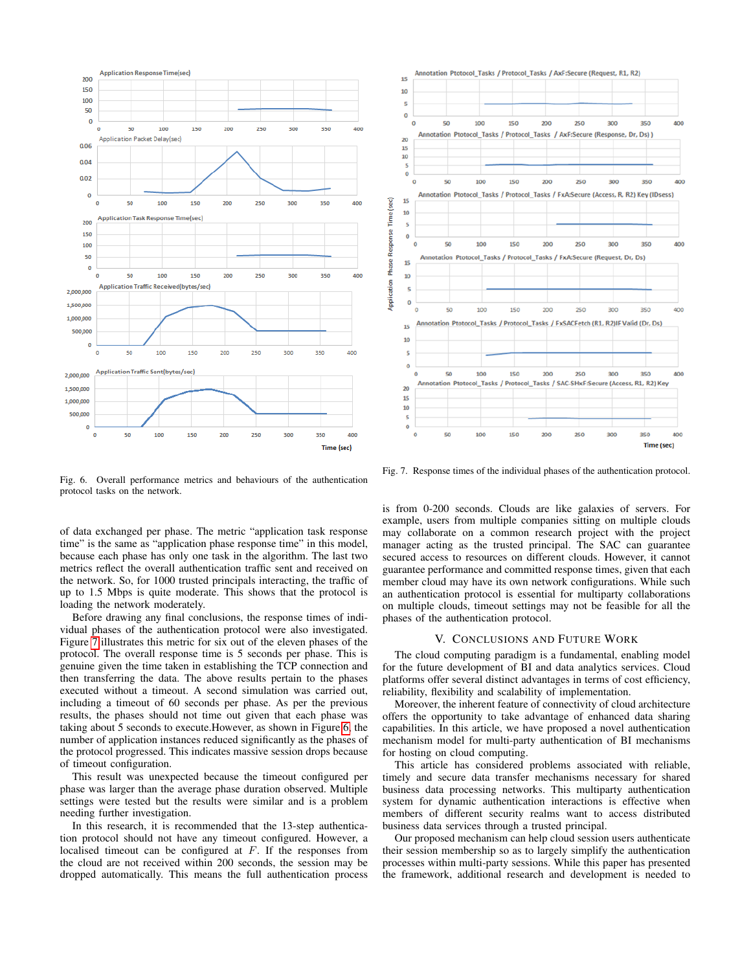

<span id="page-6-0"></span>Fig. 6. Overall performance metrics and behaviours of the authentication protocol tasks on the network.

of data exchanged per phase. The metric "application task response time" is the same as "application phase response time" in this model, because each phase has only one task in the algorithm. The last two metrics reflect the overall authentication traffic sent and received on the network. So, for 1000 trusted principals interacting, the traffic of up to 1.5 Mbps is quite moderate. This shows that the protocol is loading the network moderately.

Before drawing any final conclusions, the response times of individual phases of the authentication protocol were also investigated. Figure [7](#page-6-1) illustrates this metric for six out of the eleven phases of the protocol. The overall response time is 5 seconds per phase. This is genuine given the time taken in establishing the TCP connection and then transferring the data. The above results pertain to the phases executed without a timeout. A second simulation was carried out, including a timeout of 60 seconds per phase. As per the previous results, the phases should not time out given that each phase was taking about 5 seconds to execute.However, as shown in Figure [6,](#page-6-0) the number of application instances reduced significantly as the phases of the protocol progressed. This indicates massive session drops because of timeout configuration.

This result was unexpected because the timeout configured per phase was larger than the average phase duration observed. Multiple settings were tested but the results were similar and is a problem needing further investigation.

In this research, it is recommended that the 13-step authentication protocol should not have any timeout configured. However, a localised timeout can be configured at  $F$ . If the responses from the cloud are not received within 200 seconds, the session may be dropped automatically. This means the full authentication process



<span id="page-6-1"></span>Fig. 7. Response times of the individual phases of the authentication protocol.

is from 0-200 seconds. Clouds are like galaxies of servers. For example, users from multiple companies sitting on multiple clouds may collaborate on a common research project with the project manager acting as the trusted principal. The SAC can guarantee secured access to resources on different clouds. However, it cannot guarantee performance and committed response times, given that each member cloud may have its own network configurations. While such an authentication protocol is essential for multiparty collaborations on multiple clouds, timeout settings may not be feasible for all the phases of the authentication protocol.

## V. CONCLUSIONS AND FUTURE WORK

The cloud computing paradigm is a fundamental, enabling model for the future development of BI and data analytics services. Cloud platforms offer several distinct advantages in terms of cost efficiency, reliability, flexibility and scalability of implementation.

Moreover, the inherent feature of connectivity of cloud architecture offers the opportunity to take advantage of enhanced data sharing capabilities. In this article, we have proposed a novel authentication mechanism model for multi-party authentication of BI mechanisms for hosting on cloud computing.

This article has considered problems associated with reliable, timely and secure data transfer mechanisms necessary for shared business data processing networks. This multiparty authentication system for dynamic authentication interactions is effective when members of different security realms want to access distributed business data services through a trusted principal.

Our proposed mechanism can help cloud session users authenticate their session membership so as to largely simplify the authentication processes within multi-party sessions. While this paper has presented the framework, additional research and development is needed to